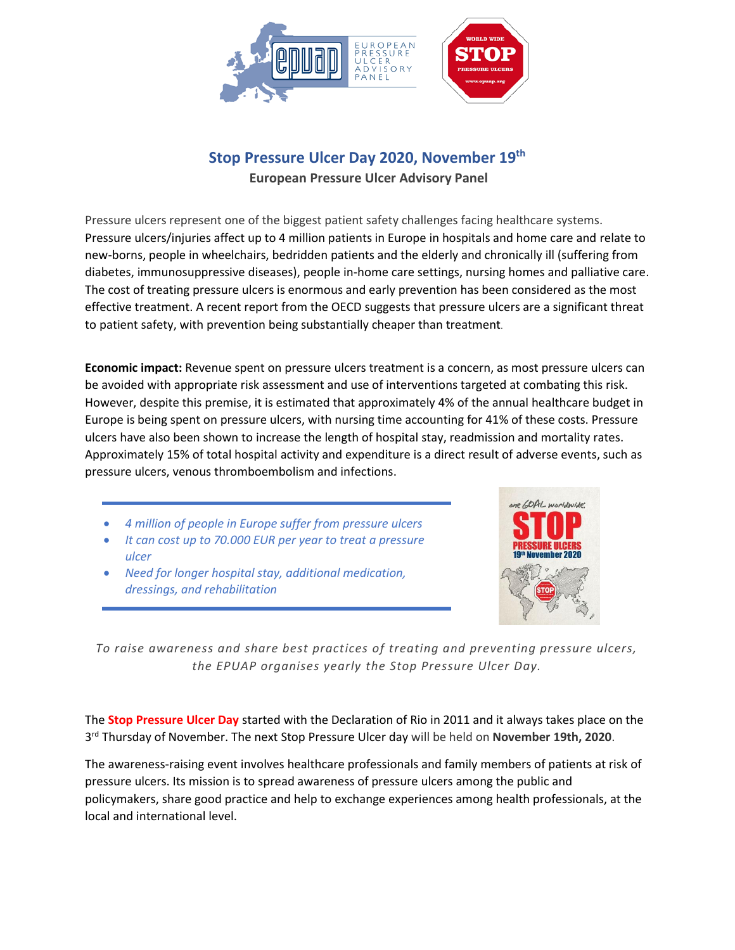

# **Stop Pressure Ulcer Day 2020, November 19th**

**European Pressure Ulcer Advisory Panel**

Pressure ulcers represent one of the biggest patient safety challenges facing healthcare systems. Pressure ulcers/injuries affect up to 4 million patients in Europe in hospitals and home care and relate to new-borns, people in wheelchairs, bedridden patients and the elderly and chronically ill (suffering from diabetes, immunosuppressive diseases), people in-home care settings, nursing homes and palliative care. The cost of treating pressure ulcers is enormous and early prevention has been considered as the most effective treatment. A recent report from the OECD suggests that pressure ulcers are a significant threat to patient safety, with prevention being substantially cheaper than treatment.

**Economic impact:** Revenue spent on pressure ulcers treatment is a concern, as most pressure ulcers can be avoided with appropriate risk assessment and use of interventions targeted at combating this risk. However, despite this premise, it is estimated that approximately 4% of the annual healthcare budget in Europe is being spent on pressure ulcers, with nursing time accounting for 41% of these costs. Pressure ulcers have also been shown to increase the length of hospital stay, readmission and mortality rates. Approximately 15% of total hospital activity and expenditure is a direct result of adverse events, such as pressure ulcers, venous thromboembolism and infections.

- *4 million of people in Europe suffer from pressure ulcers*
- *It can cost up to 70.000 EUR per year to treat a pressure ulcer*
- *Need for longer hospital stay, additional medication, dressings, and rehabilitation*



*To raise awareness and share best practices of treating and preventing pressure ulcers, the EPUAP organises yearly the Stop Pressure Ulcer Day.*

The **Stop Pressure Ulcer Day** started with the Declaration of Rio in 2011 and it always takes place on the 3 rd Thursday of November. The next Stop Pressure Ulcer day will be held on **November 19th, 2020**.

The awareness-raising event involves healthcare professionals and family members of patients at risk of pressure ulcers. Its mission is to spread awareness of pressure ulcers among the public and policymakers, share good practice and help to exchange experiences among health professionals, at the local and international level.